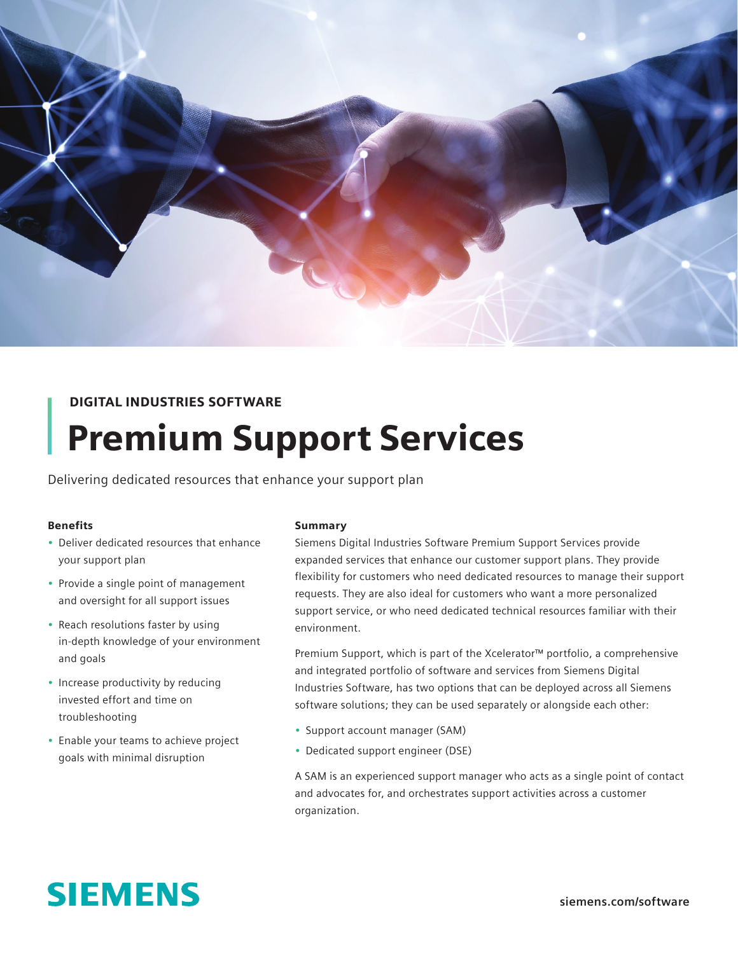

# DIGITAL INDUSTRIES SOFTWARE

# Premium Support Services

Delivering dedicated resources that enhance your support plan

#### Benefits

- Deliver dedicated resources that enhance your support plan
- Provide a single point of management and oversight for all support issues
- Reach resolutions faster by using in-depth knowledge of your environment and goals
- Increase productivity by reducing invested effort and time on troubleshooting
- Enable your teams to achieve project goals with minimal disruption

#### Summary

Siemens Digital Industries Software Premium Support Services provide expanded services that enhance our customer support plans. They provide flexibility for customers who need dedicated resources to manage their support requests. They are also ideal for customers who want a more personalized support service, or who need dedicated technical resources familiar with their environment.

Premium Support, which is part of the Xcelerator™ portfolio, a comprehensive and integrated portfolio of software and services from Siemens Digital Industries Software, has two options that can be deployed across all Siemens software solutions; they can be used separately or alongside each other:

- Support account manager (SAM)
- Dedicated support engineer (DSE)

A SAM is an experienced support manager who acts as a single point of contact and advocates for, and orchestrates support activities across a customer organization.

# **SIEMENS**